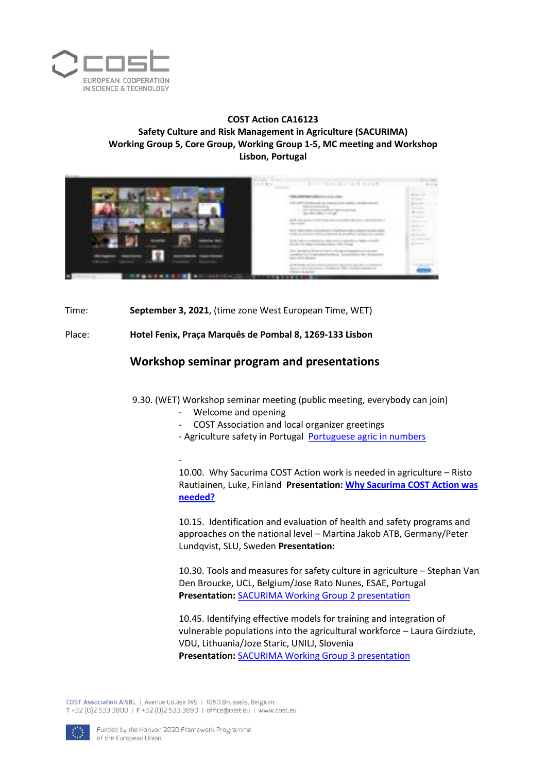

## **COST Action CA16123 Safety Culture and Risk Management in Agriculture (SACURIMA) Working Group 5, Core Group, Working Group 1-5, MC meeting and Workshop Lisbon, Portugal**



Time: **September 3, 2021**, (time zone West European Time, WET)

Place: **Hotel Fenix, Praça Marquês de Pombal 8, 1269-133 Lisbon**

## **Workshop seminar program and presentations**

9.30. (WET) Workshop seminar meeting (public meeting, everybody can join)

- Welcome and opening
	- COST Association and local organizer greetings
- Agriculture safety in Portugal [Portuguese agric in numbers](https://www.sacurima.eu/wp-content/uploads/sites/46/2021/09/Portuguese-agric-in-numbers.pdf)

- 10.00. Why Sacurima COST Action work is needed in agriculture – Risto Rautiainen, Luke, Finland **Presentation: [Why Sacurima COST Action was](https://www.sacurima.eu/wp-content/uploads/sites/46/2021/09/2021_09_03-Why-Sacurima-is-needed_RR.pdf)  [needed?](https://www.sacurima.eu/wp-content/uploads/sites/46/2021/09/2021_09_03-Why-Sacurima-is-needed_RR.pdf)**

10.15. Identification and evaluation of health and safety programs and approaches on the national level – Martina Jakob ATB, Germany/Peter Lundqvist, SLU, Sweden **Presentation:** 

10.30. Tools and measures for safety culture in agriculture – Stephan Van Den Broucke, UCL, Belgium/Jose Rato Nunes, ESAE, Portugal **Presentation:** [SACURIMA Working Group 2 presentation](https://www.sacurima.eu/wp-content/uploads/sites/46/2021/09/SACURIMA-Workshop-Lisbon-W2.pdf)

10.45. Identifying effective models for training and integration of vulnerable populations into the agricultural workforce – Laura Girdziute, VDU, Lithuania/Joze Staric, UNILJ, Slovenia **Presentation:** [SACURIMA Working Group 3 presentation](https://www.sacurima.eu/wp-content/uploads/sites/46/2021/09/SACURIMA-workshop-WG3-presentation-20210903.pdf)